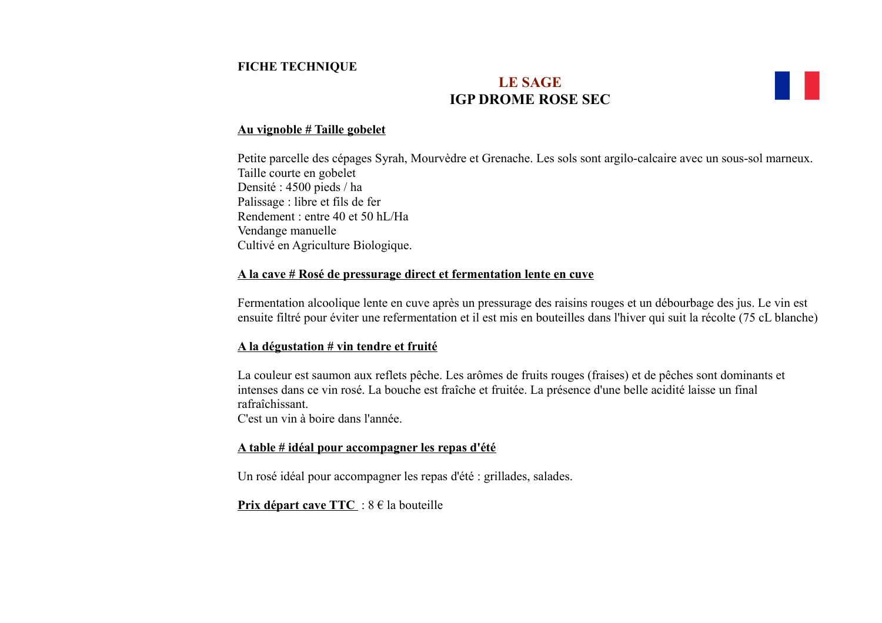## **FICHE TECHNIQUE**

# **LE SAGE IGP DROME ROSE SEC**

### **Au vignoble # Taille gobelet**

Petite parcelle des cépages Syrah, Mourvèdre et Grenache. Les sols sont argilo-calcaire avec un sous-sol marneux. Taille courte en gobelet Densité : 4500 pieds / ha Palissage : libre et fils de fer Rendement : entre 40 et 50 hL/Ha Vendange manuelle Cultivé en Agriculture Biologique.

### **A la cave # Rosé de pressurage direct et fermentation lente en cuve**

Fermentation alcoolique lente en cuve après un pressurage des raisins rouges et un débourbage des jus. Le vin est ensuite filtré pour éviter une refermentation et il est mis en bouteilles dans l'hiver qui suit la récolte (75 cL blanche)

### **A la dégustation # vin tendre et fruité**

La couleur est saumon aux reflets pêche. Les arômes de fruits rouges (fraises) et de pêches sont dominants et intenses dans ce vin rosé. La bouche est fraîche et fruitée. La présence d'une belle acidité laisse un final rafraîchissant.

C'est un vin à boire dans l'année.

### **A table # idéal pour accompagner les repas d'été**

Un rosé idéal pour accompagner les repas d'été : grillades, salades.

**Prix départ cave TTC** :  $8 \in \mathbb{R}$  la bouteille